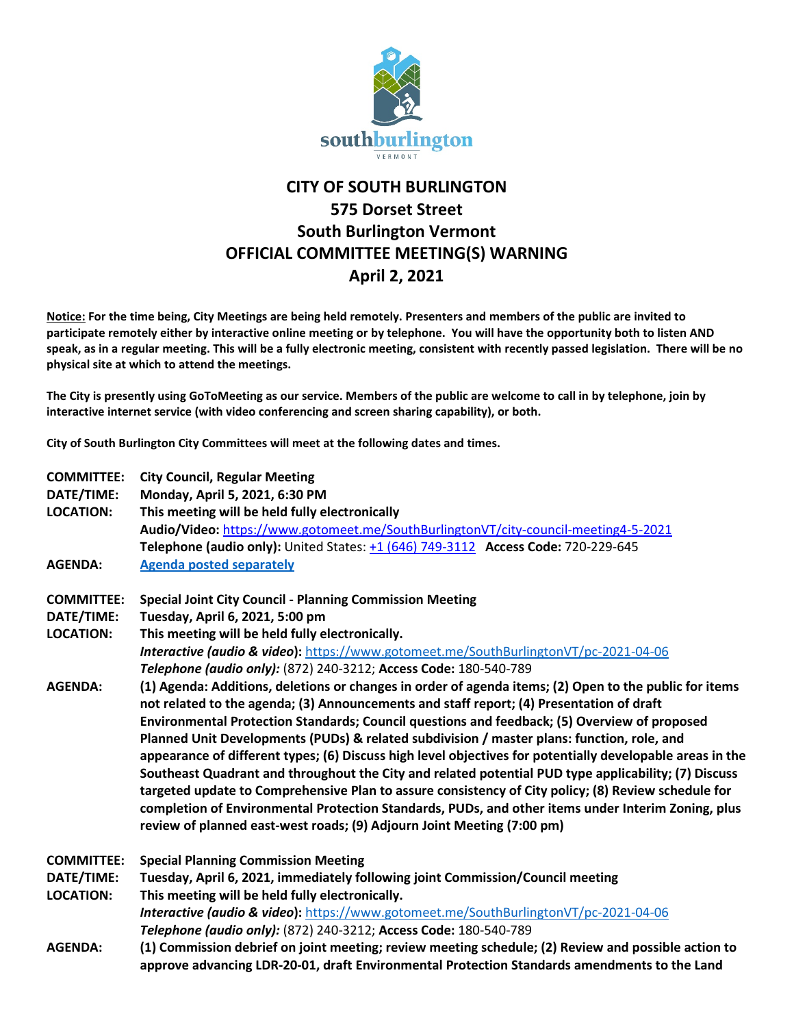

## **CITY OF SOUTH BURLINGTON 575 Dorset Street South Burlington Vermont OFFICIAL COMMITTEE MEETING(S) WARNING April 2, 2021**

**Notice: For the time being, City Meetings are being held remotely. Presenters and members of the public are invited to participate remotely either by interactive online meeting or by telephone. You will have the opportunity both to listen AND speak, as in a regular meeting. This will be a fully electronic meeting, consistent with recently passed legislation. There will be no physical site at which to attend the meetings.** 

**The City is presently using GoToMeeting as our service. Members of the public are welcome to call in by telephone, join by interactive internet service (with video conferencing and screen sharing capability), or both.**

**City of South Burlington City Committees will meet at the following dates and times.** 

| <b>COMMITTEE:</b> | <b>City Council, Regular Meeting</b>                                                                      |
|-------------------|-----------------------------------------------------------------------------------------------------------|
| DATE/TIME:        | Monday, April 5, 2021, 6:30 PM                                                                            |
| <b>LOCATION:</b>  | This meeting will be held fully electronically                                                            |
|                   | Audio/Video: https://www.gotomeet.me/SouthBurlingtonVT/city-council-meeting4-5-2021                       |
|                   | Telephone (audio only): United States: +1 (646) 749-3112 Access Code: 720-229-645                         |
| <b>AGENDA:</b>    | <b>Agenda posted separately</b>                                                                           |
| <b>COMMITTEE:</b> | <b>Special Joint City Council - Planning Commission Meeting</b>                                           |
| DATE/TIME:        | Tuesday, April 6, 2021, 5:00 pm                                                                           |
| <b>LOCATION:</b>  | This meeting will be held fully electronically.                                                           |
|                   | Interactive (audio & video): https://www.gotomeet.me/SouthBurlingtonVT/pc-2021-04-06                      |
|                   | Telephone (audio only): (872) 240-3212; Access Code: 180-540-789                                          |
| <b>AGENDA:</b>    | (1) Agenda: Additions, deletions or changes in order of agenda items; (2) Open to the public for items    |
|                   | not related to the agenda; (3) Announcements and staff report; (4) Presentation of draft                  |
|                   | Environmental Protection Standards; Council questions and feedback; (5) Overview of proposed              |
|                   | Planned Unit Developments (PUDs) & related subdivision / master plans: function, role, and                |
|                   | appearance of different types; (6) Discuss high level objectives for potentially developable areas in the |
|                   | Southeast Quadrant and throughout the City and related potential PUD type applicability; (7) Discuss      |
|                   | targeted update to Comprehensive Plan to assure consistency of City policy; (8) Review schedule for       |
|                   | completion of Environmental Protection Standards, PUDs, and other items under Interim Zoning, plus        |
|                   | review of planned east-west roads; (9) Adjourn Joint Meeting (7:00 pm)                                    |
| <b>COMMITTEE:</b> | <b>Special Planning Commission Meeting</b>                                                                |
| DATE/TIME:        | Tuesday, April 6, 2021, immediately following joint Commission/Council meeting                            |
| <b>LOCATION:</b>  | This meeting will be held fully electronically.                                                           |
|                   | Interactive (audio & video): https://www.gotomeet.me/SouthBurlingtonVT/pc-2021-04-06                      |
|                   | Telephone (audio only): (872) 240-3212; Access Code: 180-540-789                                          |
| <b>AGENDA:</b>    | (1) Commission debrief on joint meeting; review meeting schedule; (2) Review and possible action to       |
|                   | approve advancing LDR-20-01, draft Environmental Protection Standards amendments to the Land              |